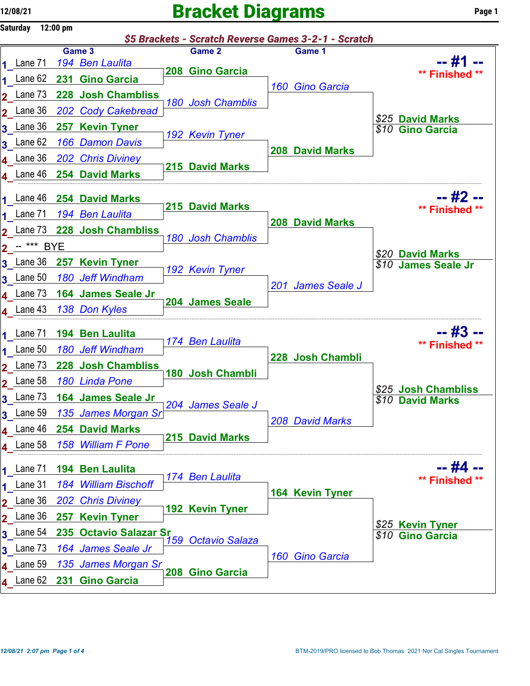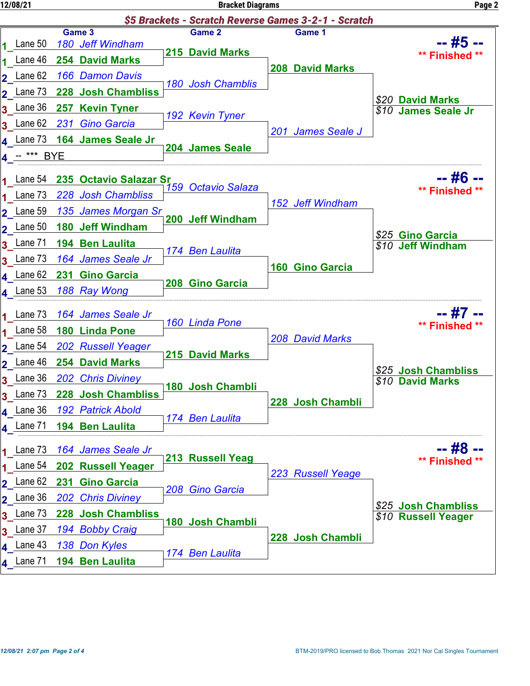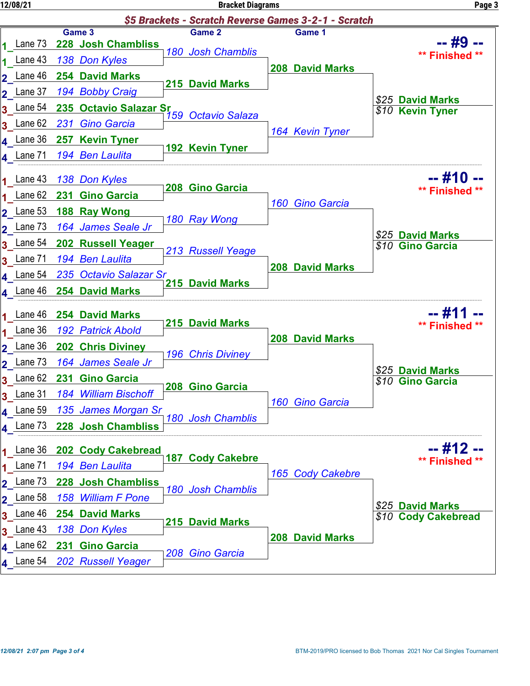